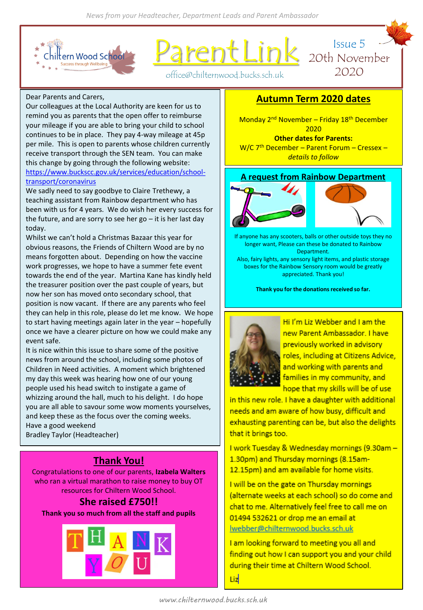

rent Link



office@chilternwood.bucks.sch.uk

#### Dear Parents and Carers,

Our colleagues at the Local Authority are keen for us to remind you as parents that the open offer to reimburse your mileage if you are able to bring your child to school continues to be in place. They pay 4-way mileage at 45p per mile. This is open to parents whose children currently receive transport through the SEN team. You can make this change by going through the following website: [https://www.buckscc.gov.uk/services/education/school](https://www.buckscc.gov.uk/services/education/school-transport/coronavirus)transport/coronavirus

We sadly need to say goodbye to Claire Trethewy, a teaching assistant from Rainbow department who has been with us for 4 years. We do wish her every success for the future, and are sorry to see her go  $-$  it is her last day today.

Whilst we can't hold a Christmas Bazaar this year for obvious reasons, the Friends of Chiltern Wood are by no means forgotten about. Depending on how the vaccine work progresses, we hope to have a summer fete event towards the end of the year. Martina Kane has kindly held the treasurer position over the past couple of years, but now her son has moved onto secondary school, that position is now vacant. If there are any parents who feel they can help in this role, please do let me know. We hope to start having meetings again later in the year – hopefully once we have a clearer picture on how we could make any event safe.

It is nice within this issue to share some of the positive news from around the school, including some photos of Children in Need activities. A moment which brightened my day this week was hearing how one of our young people used his head switch to instigate a game of whizzing around the hall, much to his delight. I do hope you are all able to savour some wow moments yourselves, and keep these as the focus over the coming weeks. Have a good weekend

Bradley Taylor (Headteacher)

# **Thank You!**

Congratulations to one of our parents, **Izabela Walters**  who ran a virtual marathon to raise money to buy OT resources for Chiltern Wood School.

# **She raised £750!!**

**Thank you so much from all the staff and pupils**



## **Autumn Term 2020 dates**

Monday 2<sup>nd</sup> November – Friday 18<sup>th</sup> December 2020 **Other dates for Parents:**

W/C 7<sup>th</sup> December - Parent Forum - Cressex *details to follow*

## **A request from Rainbow Department**





If anyone has any scooters, balls or other outside toys they no longer want, Please can these be donated to Rainbow Department.

Also, fairy lights, any sensory light items, and plastic storage boxes for the Rainbow Sensory room would be greatly appreciated. Thank you!

**Thank you for the donations received so far.**



Hi I'm Liz Webber and I am the new Parent Ambassador, I have previously worked in advisory roles, including at Citizens Advice. and working with parents and families in my community, and hope that my skills will be of use

in this new role. I have a daughter with additional needs and am aware of how busy, difficult and exhausting parenting can be, but also the delights that it brings too.

I work Tuesday & Wednesday mornings (9.30am -1.30pm) and Thursday mornings (8.15am-12.15pm) and am available for home visits.

I will be on the gate on Thursday mornings (alternate weeks at each school) so do come and chat to me. Alternatively feel free to call me on 01494 532621 or drop me an email at webber@chilternwood.bucks.sch.uk

I am looking forward to meeting you all and finding out how I can support you and your child during their time at Chiltern Wood School.

Liz